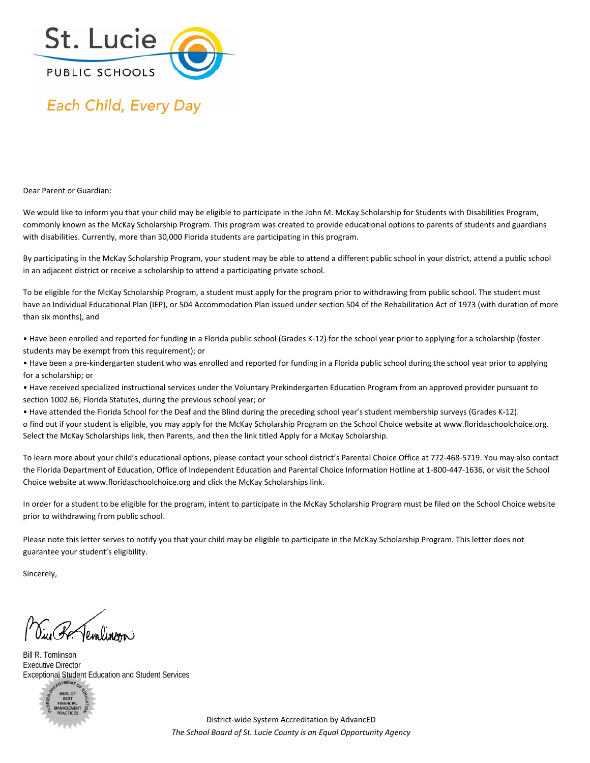

## Each Child, Every Day

Dear Parent or Guardian:

We would like to inform you that your child may be eligible to participate in the John M. McKay Scholarship for Students with Disabilities Program, commonly known as the McKay Scholarship Program. This program was created to provide educational options to parents of students and guardians with disabilities. Currently, more than 30,000 Florida students are participating in this program.

By participating in the McKay Scholarship Program, your student may be able to attend a different public school in your district, attend a public school in an adjacent district or receive a scholarship to attend a participating private school.

To be eligible for the McKay Scholarship Program, a student must apply for the program prior to withdrawing from public school. The student must have an Individual Educational Plan (IEP), or 504 Accommodation Plan issued under section 504 of the Rehabilitation Act of 1973 (with duration of more than six months), and

• Have been enrolled and reported for funding in a Florida public school (Grades K‐12) for the school year prior to applying for a scholarship (foster students may be exempt from this requirement); or

• Have been a pre‐kindergarten student who was enrolled and reported for funding in a Florida public school during the school year prior to applying for a scholarship; or

• Have received specialized instructional services under the Voluntary Prekindergarten Education Program from an approved provider pursuant to section 1002.66, Florida Statutes, during the previous school year; or

• Have attended the Florida School for the Deaf and the Blind during the preceding school year's student membership surveys (Grades K‐12).

o find out if your student is eligible, you may apply for the McKay Scholarship Program on the School Choice website at www.floridaschoolchoice.org. Select the McKay Scholarships link, then Parents, and then the link titled Apply for a McKay Scholarship.

To learn more about your child's educational options, please contact your school district's Parental Choice Office at 772‐468‐5719. You may also contact the Florida Department of Education, Office of Independent Education and Parental Choice Information Hotline at 1‐800‐447‐1636, or visit the School Choice website at www.floridaschoolchoice.org and click the McKay Scholarships link.

In order for a student to be eligible for the program, intent to participate in the McKay Scholarship Program must be filed on the School Choice website prior to withdrawing from public school.

Please note this letter serves to notify you that your child may be eligible to participate in the McKay Scholarship Program. This letter does not guarantee your student's eligibility.

Sincerely,

Eug Re Jemlinon

Bill R. Tomlinson Executive Director Exceptional Student Education and Student Services



District‐wide System Accreditation by AdvancED *The School Board of St. Lucie County is an Equal Opportunity Agency*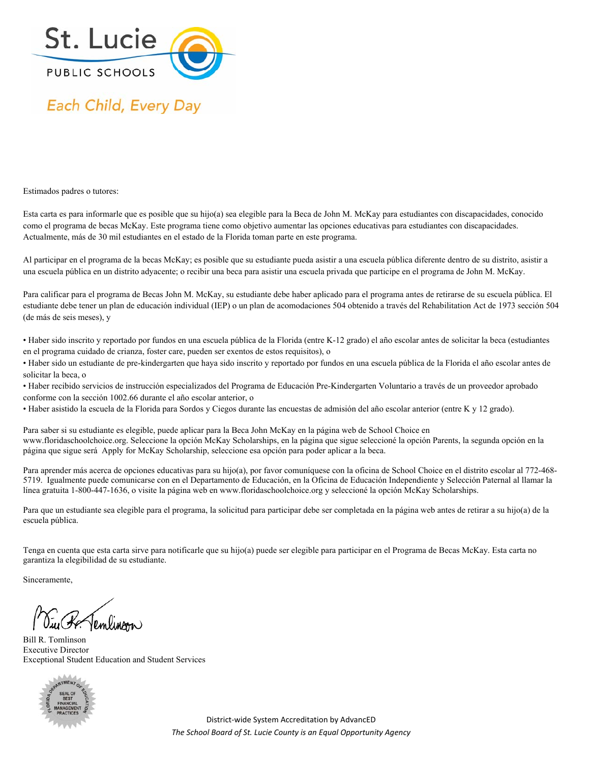

## Each Child, Every Day

Estimados padres o tutores:

Esta carta es para informarle que es posible que su hijo(a) sea elegible para la Beca de John M. McKay para estudiantes con discapacidades, conocido como el programa de becas McKay. Este programa tiene como objetivo aumentar las opciones educativas para estudiantes con discapacidades. Actualmente, más de 30 mil estudiantes en el estado de la Florida toman parte en este programa.

Al participar en el programa de la becas McKay; es posible que su estudiante pueda asistir a una escuela pública diferente dentro de su distrito, asistir a una escuela pública en un distrito adyacente; o recibir una beca para asistir una escuela privada que participe en el programa de John M. McKay.

Para calificar para el programa de Becas John M. McKay, su estudiante debe haber aplicado para el programa antes de retirarse de su escuela pública. El estudiante debe tener un plan de educación individual (IEP) o un plan de acomodaciones 504 obtenido a través del Rehabilitation Act de 1973 sección 504 (de más de seis meses), y

• Haber sido inscrito y reportado por fundos en una escuela pública de la Florida (entre K-12 grado) el año escolar antes de solicitar la beca (estudiantes en el programa cuidado de crianza, foster care, pueden ser exentos de estos requisitos), o

• Haber sido un estudiante de pre-kindergarten que haya sido inscrito y reportado por fundos en una escuela pública de la Florida el año escolar antes de solicitar la beca, o

• Haber recibido servicios de instrucción especializados del Programa de Educación Pre-Kindergarten Voluntario a través de un proveedor aprobado conforme con la sección 1002.66 durante el año escolar anterior, o

• Haber asistido la escuela de la Florida para Sordos y Ciegos durante las encuestas de admisión del año escolar anterior (entre K y 12 grado).

Para saber si su estudiante es elegible, puede aplicar para la Beca John McKay en la página web de School Choice en www.floridaschoolchoice.org. Seleccione la opción McKay Scholarships, en la página que sigue seleccioné la opción Parents, la segunda opción en la página que sigue será Apply for McKay Scholarship, seleccione esa opción para poder aplicar a la beca.

Para aprender más acerca de opciones educativas para su hijo(a), por favor comuníquese con la oficina de School Choice en el distrito escolar al 772-468- 5719. Igualmente puede comunicarse con en el Departamento de Educación, en la Oficina de Educación Independiente y Selección Paternal al llamar la línea gratuita 1-800-447-1636, o visite la página web en www.floridaschoolchoice.org y seleccioné la opción McKay Scholarships.

Para que un estudiante sea elegible para el programa, la solicitud para participar debe ser completada en la página web antes de retirar a su hijo(a) de la escuela pública.

Tenga en cuenta que esta carta sirve para notificarle que su hijo(a) puede ser elegible para participar en el Programa de Becas McKay. Esta carta no garantiza la elegibilidad de su estudiante.

Sinceramente,

Siu Be Temlinson

Bill R. Tomlinson Executive Director Exceptional Student Education and Student Services



District‐wide System Accreditation by AdvancED *The School Board of St. Lucie County is an Equal Opportunity Agency*